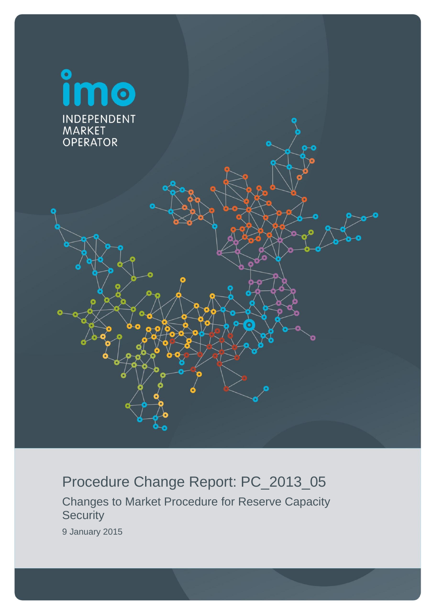

# Procedure Change Report: PC\_2013\_05

Changes to Market Procedure for Reserve Capacity **Security** 

9 January 2015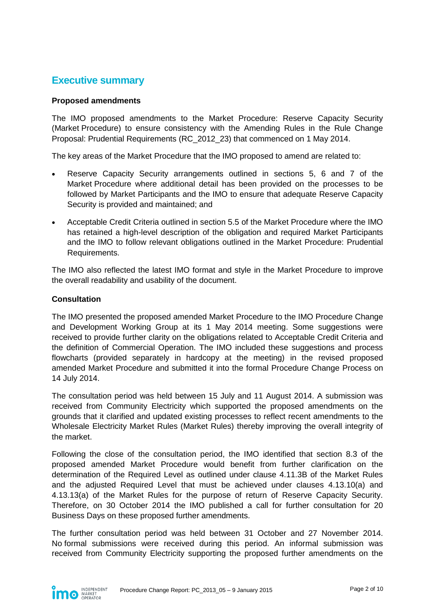# <span id="page-1-0"></span>**Executive summary**

#### **Proposed amendments**

The IMO proposed amendments to the Market Procedure: Reserve Capacity Security (Market Procedure) to ensure consistency with the Amending Rules in the Rule Change Proposal: Prudential Requirements (RC\_2012\_23) that commenced on 1 May 2014.

The key areas of the Market Procedure that the IMO proposed to amend are related to:

- Reserve Capacity Security arrangements outlined in sections 5, 6 and 7 of the Market Procedure where additional detail has been provided on the processes to be followed by Market Participants and the IMO to ensure that adequate Reserve Capacity Security is provided and maintained; and
- Acceptable Credit Criteria outlined in section 5.5 of the Market Procedure where the IMO has retained a high-level description of the obligation and required Market Participants and the IMO to follow relevant obligations outlined in the Market Procedure: Prudential Requirements.

The IMO also reflected the latest IMO format and style in the Market Procedure to improve the overall readability and usability of the document.

#### **Consultation**

The IMO presented the proposed amended Market Procedure to the IMO Procedure Change and Development Working Group at its 1 May 2014 meeting. Some suggestions were received to provide further clarity on the obligations related to Acceptable Credit Criteria and the definition of Commercial Operation. The IMO included these suggestions and process flowcharts (provided separately in hardcopy at the meeting) in the revised proposed amended Market Procedure and submitted it into the formal Procedure Change Process on 14 July 2014.

The consultation period was held between 15 July and 11 August 2014. A submission was received from Community Electricity which supported the proposed amendments on the grounds that it clarified and updated existing processes to reflect recent amendments to the Wholesale Electricity Market Rules (Market Rules) thereby improving the overall integrity of the market.

Following the close of the consultation period, the IMO identified that section 8.3 of the proposed amended Market Procedure would benefit from further clarification on the determination of the Required Level as outlined under clause 4.11.3B of the Market Rules and the adjusted Required Level that must be achieved under clauses 4.13.10(a) and 4.13.13(a) of the Market Rules for the purpose of return of Reserve Capacity Security. Therefore, on 30 October 2014 the IMO published a call for further consultation for 20 Business Days on these proposed further amendments.

The further consultation period was held between 31 October and 27 November 2014. No formal submissions were received during this period. An informal submission was received from Community Electricity supporting the proposed further amendments on the

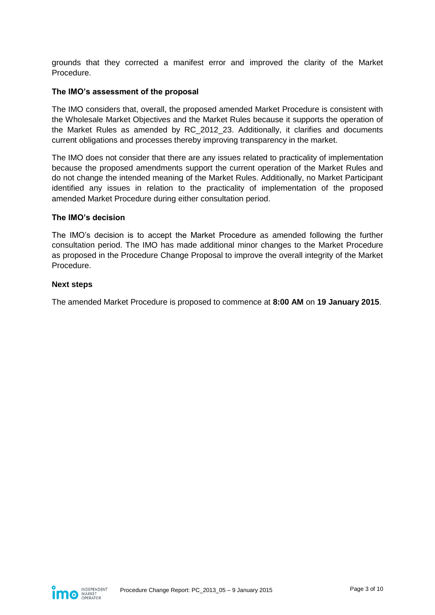grounds that they corrected a manifest error and improved the clarity of the Market Procedure.

#### **The IMO's assessment of the proposal**

The IMO considers that, overall, the proposed amended Market Procedure is consistent with the Wholesale Market Objectives and the Market Rules because it supports the operation of the Market Rules as amended by RC\_2012\_23. Additionally, it clarifies and documents current obligations and processes thereby improving transparency in the market.

The IMO does not consider that there are any issues related to practicality of implementation because the proposed amendments support the current operation of the Market Rules and do not change the intended meaning of the Market Rules. Additionally, no Market Participant identified any issues in relation to the practicality of implementation of the proposed amended Market Procedure during either consultation period.

#### **The IMO's decision**

The IMO's decision is to accept the Market Procedure as amended following the further consultation period. The IMO has made additional minor changes to the Market Procedure as proposed in the Procedure Change Proposal to improve the overall integrity of the Market Procedure.

#### **Next steps**

The amended Market Procedure is proposed to commence at **8:00 AM** on **19 January 2015**.

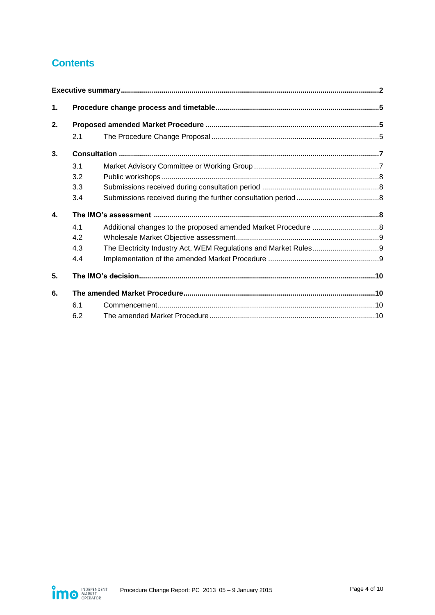# **Contents**

| 1. |     |  |  |
|----|-----|--|--|
| 2. |     |  |  |
|    | 2.1 |  |  |
| 3. |     |  |  |
|    | 3.1 |  |  |
|    | 3.2 |  |  |
|    | 3.3 |  |  |
|    | 3.4 |  |  |
| 4. |     |  |  |
|    | 4.1 |  |  |
|    | 4.2 |  |  |
|    | 4.3 |  |  |
|    | 4.4 |  |  |
| 5. |     |  |  |
| 6. |     |  |  |
|    | 6.1 |  |  |
|    | 6.2 |  |  |

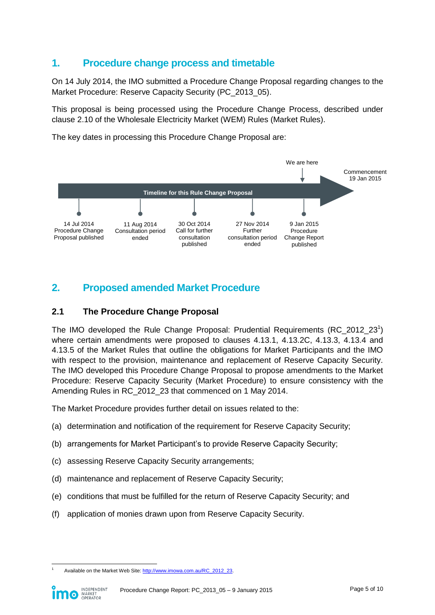# <span id="page-4-0"></span>**1. Procedure change process and timetable**

On 14 July 2014, the IMO submitted a Procedure Change Proposal regarding changes to the Market Procedure: Reserve Capacity Security (PC 2013 05).

This proposal is being processed using the Procedure Change Process, described under clause 2.10 of the Wholesale Electricity Market (WEM) Rules (Market Rules).

The key dates in processing this Procedure Change Proposal are:



# <span id="page-4-1"></span>**2. Proposed amended Market Procedure**

#### <span id="page-4-2"></span>**2.1 The Procedure Change Proposal**

The IMO developed the Rule Change Proposal: Prudential Requirements  $(RC_2012_23^1)$ where certain amendments were proposed to clauses 4.13.1, 4.13.2C, 4.13.3, 4.13.4 and 4.13.5 of the Market Rules that outline the obligations for Market Participants and the IMO with respect to the provision, maintenance and replacement of Reserve Capacity Security. The IMO developed this Procedure Change Proposal to propose amendments to the Market Procedure: Reserve Capacity Security (Market Procedure) to ensure consistency with the Amending Rules in RC\_2012\_23 that commenced on 1 May 2014.

The Market Procedure provides further detail on issues related to the:

- (a) determination and notification of the requirement for Reserve Capacity Security;
- (b) arrangements for Market Participant's to provide Reserve Capacity Security:
- (c) assessing Reserve Capacity Security arrangements;
- (d) maintenance and replacement of Reserve Capacity Security;
- (e) conditions that must be fulfilled for the return of Reserve Capacity Security; and
- (f) application of monies drawn upon from Reserve Capacity Security.

Available on the Market Web Site[: http://www.imowa.com.au/RC\\_2012\\_23.](http://www.imowa.com.au/RC_2012_23)

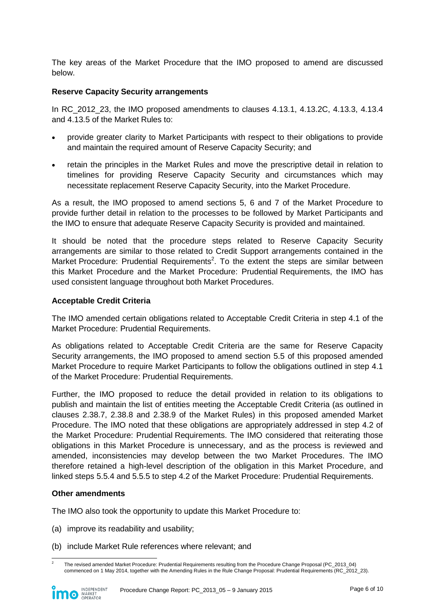The key areas of the Market Procedure that the IMO proposed to amend are discussed below.

#### **Reserve Capacity Security arrangements**

In RC\_2012\_23, the IMO proposed amendments to clauses 4.13.1, 4.13.2C, 4.13.3, 4.13.4 and 4.13.5 of the Market Rules to:

- provide greater clarity to Market Participants with respect to their obligations to provide and maintain the required amount of Reserve Capacity Security; and
- retain the principles in the Market Rules and move the prescriptive detail in relation to timelines for providing Reserve Capacity Security and circumstances which may necessitate replacement Reserve Capacity Security, into the Market Procedure.

As a result, the IMO proposed to amend sections 5, 6 and 7 of the Market Procedure to provide further detail in relation to the processes to be followed by Market Participants and the IMO to ensure that adequate Reserve Capacity Security is provided and maintained.

It should be noted that the procedure steps related to Reserve Capacity Security arrangements are similar to those related to Credit Support arrangements contained in the Market Procedure: Prudential Requirements<sup>2</sup>. To the extent the steps are similar between this Market Procedure and the Market Procedure: Prudential Requirements, the IMO has used consistent language throughout both Market Procedures.

#### **Acceptable Credit Criteria**

The IMO amended certain obligations related to Acceptable Credit Criteria in step 4.1 of the Market Procedure: Prudential Requirements.

As obligations related to Acceptable Credit Criteria are the same for Reserve Capacity Security arrangements, the IMO proposed to amend section 5.5 of this proposed amended Market Procedure to require Market Participants to follow the obligations outlined in step 4.1 of the Market Procedure: Prudential Requirements.

Further, the IMO proposed to reduce the detail provided in relation to its obligations to publish and maintain the list of entities meeting the Acceptable Credit Criteria (as outlined in clauses 2.38.7, 2.38.8 and 2.38.9 of the Market Rules) in this proposed amended Market Procedure. The IMO noted that these obligations are appropriately addressed in step 4.2 of the Market Procedure: Prudential Requirements. The IMO considered that reiterating those obligations in this Market Procedure is unnecessary, and as the process is reviewed and amended, inconsistencies may develop between the two Market Procedures. The IMO therefore retained a high-level description of the obligation in this Market Procedure, and linked steps 5.5.4 and 5.5.5 to step 4.2 of the Market Procedure: Prudential Requirements.

#### **Other amendments**

The IMO also took the opportunity to update this Market Procedure to:

- (a) improve its readability and usability;
- (b) include Market Rule references where relevant; and

 $\overline{a}$ 2 The revised amended Market Procedure: Prudential Requirements resulting from the Procedure Change Proposal (PC\_2013\_04) commenced on 1 May 2014, together with the Amending Rules in the Rule Change Proposal: Prudential Requirements (RC\_2012\_23).

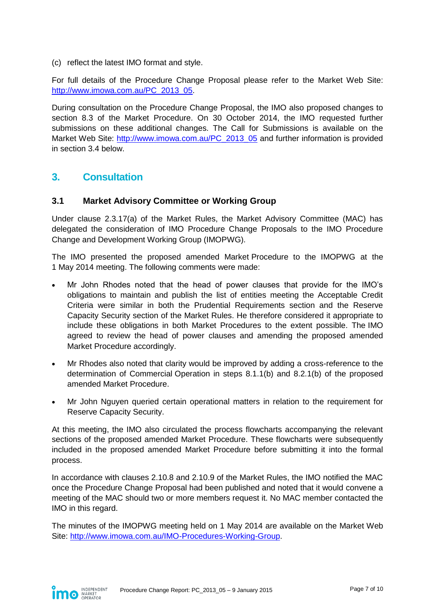(c) reflect the latest IMO format and style.

For full details of the Procedure Change Proposal please refer to the Market Web Site: [http://www.imowa.com.au/PC\\_2013\\_05.](http://www.imowa.com.au/PC_2013_05)

During consultation on the Procedure Change Proposal, the IMO also proposed changes to section 8.3 of the Market Procedure. On 30 October 2014, the IMO requested further submissions on these additional changes. The Call for Submissions is available on the Market Web Site: [http://www.imowa.com.au/PC\\_2013\\_05](http://www.imowa.com.au/PC_2013_05) and further information is provided in section 3.4 below.

# <span id="page-6-0"></span>**3. Consultation**

#### <span id="page-6-1"></span>**3.1 Market Advisory Committee or Working Group**

Under clause 2.3.17(a) of the Market Rules, the Market Advisory Committee (MAC) has delegated the consideration of IMO Procedure Change Proposals to the IMO Procedure Change and Development Working Group (IMOPWG).

The IMO presented the proposed amended Market Procedure to the IMOPWG at the 1 May 2014 meeting. The following comments were made:

- Mr John Rhodes noted that the head of power clauses that provide for the IMO's obligations to maintain and publish the list of entities meeting the Acceptable Credit Criteria were similar in both the Prudential Requirements section and the Reserve Capacity Security section of the Market Rules. He therefore considered it appropriate to include these obligations in both Market Procedures to the extent possible. The IMO agreed to review the head of power clauses and amending the proposed amended Market Procedure accordingly.
- Mr Rhodes also noted that clarity would be improved by adding a cross-reference to the determination of Commercial Operation in steps 8.1.1(b) and 8.2.1(b) of the proposed amended Market Procedure.
- Mr John Nguyen queried certain operational matters in relation to the requirement for Reserve Capacity Security.

At this meeting, the IMO also circulated the process flowcharts accompanying the relevant sections of the proposed amended Market Procedure. These flowcharts were subsequently included in the proposed amended Market Procedure before submitting it into the formal process.

In accordance with clauses 2.10.8 and 2.10.9 of the Market Rules, the IMO notified the MAC once the Procedure Change Proposal had been published and noted that it would convene a meeting of the MAC should two or more members request it. No MAC member contacted the IMO in this regard.

The minutes of the IMOPWG meeting held on 1 May 2014 are available on the Market Web Site: [http://www.imowa.com.au/IMO-Procedures-Working-Group.](http://www.imowa.com.au/IMO-Procedures-Working-Group)

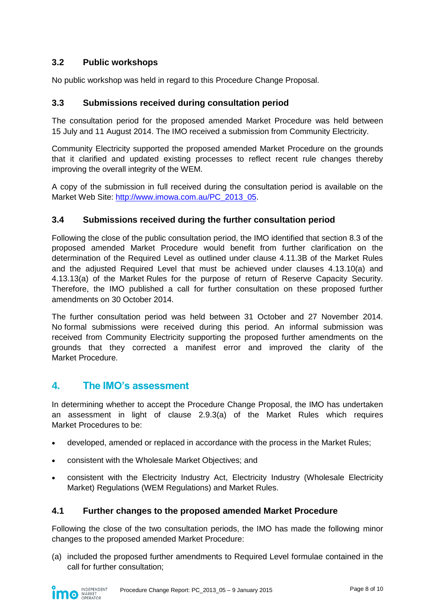# <span id="page-7-0"></span>**3.2 Public workshops**

No public workshop was held in regard to this Procedure Change Proposal.

### <span id="page-7-1"></span>**3.3 Submissions received during consultation period**

The consultation period for the proposed amended Market Procedure was held between 15 July and 11 August 2014. The IMO received a submission from Community Electricity.

Community Electricity supported the proposed amended Market Procedure on the grounds that it clarified and updated existing processes to reflect recent rule changes thereby improving the overall integrity of the WEM.

A copy of the submission in full received during the consultation period is available on the Market Web Site: [http://www.imowa.com.au/PC\\_2013\\_05.](http://www.imowa.com.au/PC_2013_05)

#### <span id="page-7-2"></span>**3.4 Submissions received during the further consultation period**

Following the close of the public consultation period, the IMO identified that section 8.3 of the proposed amended Market Procedure would benefit from further clarification on the determination of the Required Level as outlined under clause 4.11.3B of the Market Rules and the adjusted Required Level that must be achieved under clauses 4.13.10(a) and 4.13.13(a) of the Market Rules for the purpose of return of Reserve Capacity Security. Therefore, the IMO published a call for further consultation on these proposed further amendments on 30 October 2014.

The further consultation period was held between 31 October and 27 November 2014. No formal submissions were received during this period. An informal submission was received from Community Electricity supporting the proposed further amendments on the grounds that they corrected a manifest error and improved the clarity of the Market Procedure.

### <span id="page-7-3"></span>**4. The IMO's assessment**

In determining whether to accept the Procedure Change Proposal, the IMO has undertaken an assessment in light of clause 2.9.3(a) of the Market Rules which requires Market Procedures to be:

- developed, amended or replaced in accordance with the process in the Market Rules;
- consistent with the Wholesale Market Objectives; and
- consistent with the Electricity Industry Act, Electricity Industry (Wholesale Electricity Market) Regulations (WEM Regulations) and Market Rules.

#### <span id="page-7-4"></span>**4.1 Further changes to the proposed amended Market Procedure**

Following the close of the two consultation periods, the IMO has made the following minor changes to the proposed amended Market Procedure:

(a) included the proposed further amendments to Required Level formulae contained in the call for further consultation;

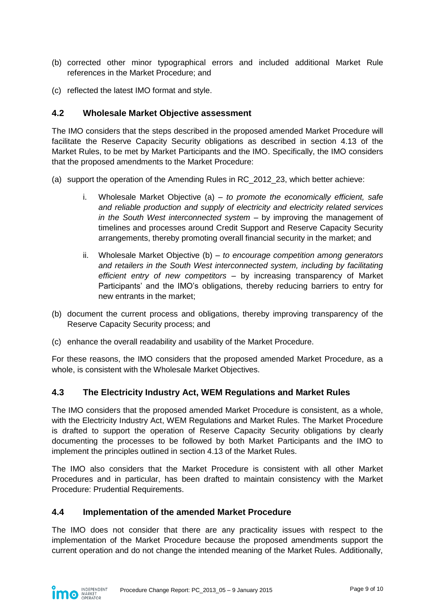- (b) corrected other minor typographical errors and included additional Market Rule references in the Market Procedure; and
- (c) reflected the latest IMO format and style.

#### <span id="page-8-0"></span>**4.2 Wholesale Market Objective assessment**

The IMO considers that the steps described in the proposed amended Market Procedure will facilitate the Reserve Capacity Security obligations as described in section 4.13 of the Market Rules, to be met by Market Participants and the IMO. Specifically, the IMO considers that the proposed amendments to the Market Procedure:

- (a) support the operation of the Amending Rules in RC\_2012\_23, which better achieve:
	- i. Wholesale Market Objective (a) *to promote the economically efficient, safe and reliable production and supply of electricity and electricity related services in the South West interconnected system* – by improving the management of timelines and processes around Credit Support and Reserve Capacity Security arrangements, thereby promoting overall financial security in the market; and
	- ii. Wholesale Market Objective (b) *to encourage competition among generators and retailers in the South West interconnected system, including by facilitating efficient entry of new competitors* – by increasing transparency of Market Participants' and the IMO's obligations, thereby reducing barriers to entry for new entrants in the market;
- (b) document the current process and obligations, thereby improving transparency of the Reserve Capacity Security process; and
- (c) enhance the overall readability and usability of the Market Procedure.

For these reasons, the IMO considers that the proposed amended Market Procedure, as a whole, is consistent with the Wholesale Market Objectives.

#### <span id="page-8-1"></span>**4.3 The Electricity Industry Act, WEM Regulations and Market Rules**

The IMO considers that the proposed amended Market Procedure is consistent, as a whole, with the Electricity Industry Act, WEM Regulations and Market Rules. The Market Procedure is drafted to support the operation of Reserve Capacity Security obligations by clearly documenting the processes to be followed by both Market Participants and the IMO to implement the principles outlined in section 4.13 of the Market Rules.

The IMO also considers that the Market Procedure is consistent with all other Market Procedures and in particular, has been drafted to maintain consistency with the Market Procedure: Prudential Requirements.

#### <span id="page-8-2"></span>**4.4 Implementation of the amended Market Procedure**

The IMO does not consider that there are any practicality issues with respect to the implementation of the Market Procedure because the proposed amendments support the current operation and do not change the intended meaning of the Market Rules. Additionally,